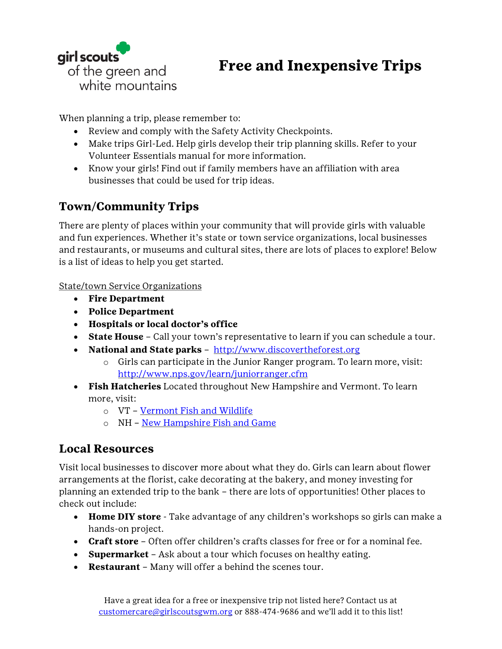

## **Free and Inexpensive Trips**

When planning a trip, please remember to:

- Review and comply with the Safety Activity Checkpoints.
- Make trips Girl-Led. Help girls develop their trip planning skills. Refer to your Volunteer Essentials manual for more information.
- Know your girls! Find out if family members have an affiliation with area businesses that could be used for trip ideas.

## **Town/Community Trips**

There are plenty of places within your community that will provide girls with valuable and fun experiences. Whether it's state or town service organizations, local businesses and restaurants, or museums and cultural sites, there are lots of places to explore! Below is a list of ideas to help you get started.

State/town Service Organizations

- **Fire Department**
- **Police Department**
- **Hospitals or local doctor's office**
- **State House** Call your town's representative to learn if you can schedule a tour.
- **National and State parks** [http://www.discovertheforest.org](http://www.discovertheforest.org/)
	- $\circ$  Girls can participate in the Junior Ranger program. To learn more, visit: <http://www.nps.gov/learn/juniorranger.cfm>
- **Fish Hatcheries** Located throughout New Hampshire and Vermont. To learn more, visit:
	- o VT [Vermont Fish and Wildlife](http://www.vtfishandwildlife.com/)
	- o NH [New Hampshire Fish and Game](http://www.wildlife.state.nh.us/about/visit.html)

## **Local Resources**

Visit local businesses to discover more about what they do. Girls can learn about flower arrangements at the florist, cake decorating at the bakery, and money investing for planning an extended trip to the bank – there are lots of opportunities! Other places to check out include:

- **Home DIY store** Take advantage of any children's workshops so girls can make a hands-on project.
- **Craft store** Often offer children's crafts classes for free or for a nominal fee.
- **Supermarket** Ask about a tour which focuses on healthy eating.
- **Restaurant** Many will offer a behind the scenes tour.